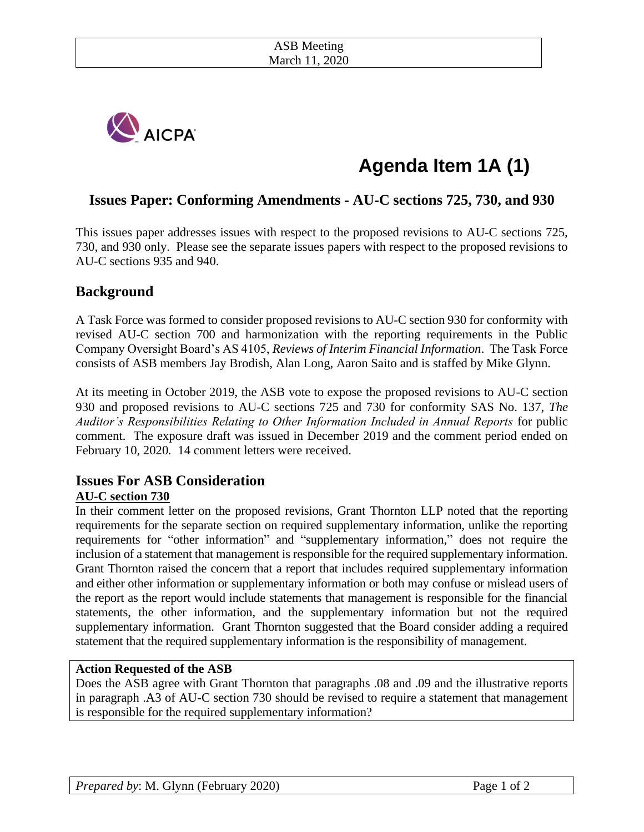

# **Agenda Item 1A (1)**

# **Issues Paper: Conforming Amendments - AU-C sections 725, 730, and 930**

This issues paper addresses issues with respect to the proposed revisions to AU-C sections 725, 730, and 930 only. Please see the separate issues papers with respect to the proposed revisions to AU-C sections 935 and 940.

## **Background**

A Task Force was formed to consider proposed revisions to AU-C section 930 for conformity with revised AU-C section 700 and harmonization with the reporting requirements in the Public Company Oversight Board's AS 4105, *Reviews of Interim Financial Information*. The Task Force consists of ASB members Jay Brodish, Alan Long, Aaron Saito and is staffed by Mike Glynn.

At its meeting in October 2019, the ASB vote to expose the proposed revisions to AU-C section 930 and proposed revisions to AU-C sections 725 and 730 for conformity SAS No. 137, *The Auditor's Responsibilities Relating to Other Information Included in Annual Reports* for public comment. The exposure draft was issued in December 2019 and the comment period ended on February 10, 2020*.* 14 comment letters were received.

## **Issues For ASB Consideration AU-C section 730**

In their comment letter on the proposed revisions, Grant Thornton LLP noted that the reporting requirements for the separate section on required supplementary information, unlike the reporting requirements for "other information" and "supplementary information," does not require the inclusion of a statement that management is responsible for the required supplementary information. Grant Thornton raised the concern that a report that includes required supplementary information and either other information or supplementary information or both may confuse or mislead users of the report as the report would include statements that management is responsible for the financial statements, the other information, and the supplementary information but not the required supplementary information. Grant Thornton suggested that the Board consider adding a required statement that the required supplementary information is the responsibility of management.

#### **Action Requested of the ASB**

Does the ASB agree with Grant Thornton that paragraphs .08 and .09 and the illustrative reports in paragraph .A3 of AU-C section 730 should be revised to require a statement that management is responsible for the required supplementary information?